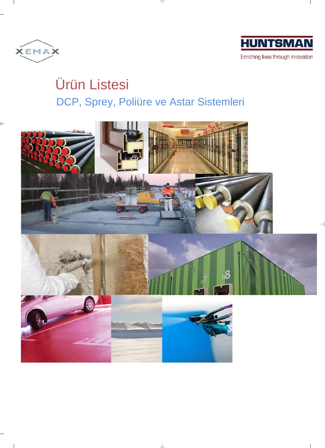

 $\mathbb{R}$ 



# Ürün Listesi DCP, Sprey, Poliüre ve Astar Sistemleri

 $\mathcal Y$ 



 $\perp$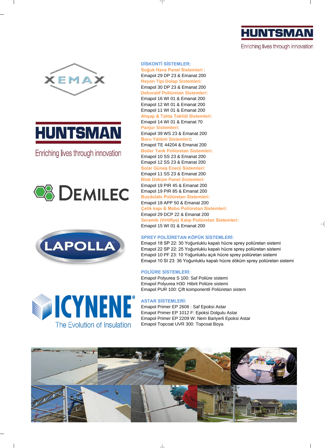

Enriching lives through innovation





Enriching lives through innovation







 $\overline{1}$ 

# **DİSKONTİ SİSTEMLER:**

**Soğuk Hava Panel Sistemleri :** Emapol 29 DP 23 & Emanat 200 **Reyon Tipi Dolap Sistemleri:** Emapol 30 DP 23 & Emanat 200 **Dekoratif Poliüretan Sistemleri:** Emapol 16 WI 01 & Emanat 200 Emapol 12 WI 01 & Emanat 200 Emapol 11 WI 01 & Emanat 200 **Ahşap & Tahta Taklidi Sistemleri:** Emapol 14 WI 01 & Emanat 70 **Panjur Sistemleri:** Emapol 39 WS 23 & Emanat 200 **Boru Yalıtım Sistemleri:** Emapol TE 44204 & Emanat 200 **Boiler Tank Poliüretan Sistemleri:** Emapol 10 SS 23 & Emanat 200 Emapol 12 SS 23 & Emanat 200 **Solar Güneş Enerji Sistemleri:** Emapol 11 SS 23 & Emanat 200 **Blok Döküm Panel Sistemleri:** Emapol 19 PIR 45 & Emanat 200 Emapol 19 PIR 85 & Emanat 200 **Buzdolabı Poliüretan Sistemleri:** Emapol 18 APP 50 & Emanat 200 **Çelik kapı & Mobo Poliüretan Sistemleri:** Emapol 29 DCP 22 & Emanat 200 **Seramik (Virtifiye) Kalıp Poliüretan Sistemleri:** Emapol 15 WI 01 & Emanat 200

# **SPREY POLİÜRETAN KÖPÜK SİSTEMLERİ:**

Emapol 18 SP 22: 30 Yoğunluklu kapalı hücre sprey poliüretan sistemi Emapol 22 SP 22: 25 Yoğunluklu kapalı hücre sprey poliüretan sistemi Emapol 10 PF 23: 10 Yoğunluklu açık hücre sprey poliüretan sistemi Emapol 10 SI 23: 36 Yoğunluklu kapalı hücre döküm sprey poliüretan sistemi

## **POLİÜRE SİSTEMLERİ:**

Emapol Polyurea S 100: Saf Poliüre sistemi Emapol Polyurea H30: Hibrit Poliüre sistemi Emapol PUR 100: Çift komponentli Poliüretan sistem

### **ASTAR SİSTEMLERİ:**

Emapol Primer EP 2606 : Saf Epoksi Astar Emapol Primer EP 1012 F: Epoksi Dolgulu Astar Emapol Primer EP 2209 W: Nem Bariyerli Epoksi Astar Emapol Topcoat UVR 300: Topcoat Boya



 $\perp$